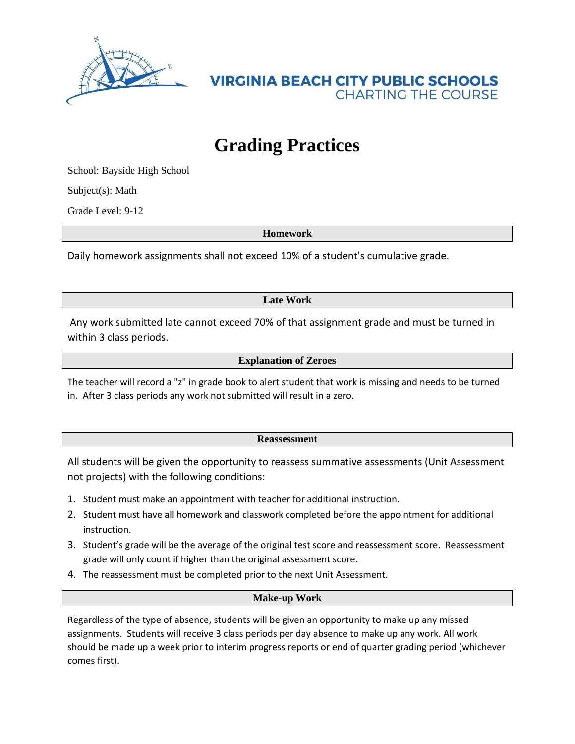

## **Grading Practices**

School: Bayside High School

Subject(s): Math

Grade Level: 9-12

**Homework**

Daily homework assignments shall not exceed 10% of a student's cumulative grade.

**Late Work**

Any work submitted late cannot exceed 70% of that assignment grade and must be turned in within 3 class periods.

**Explanation of Zeroes**

The teacher will record a "z" in grade book to alert student that work is missing and needs to be turned in. After 3 class periods any work not submitted will result in a zero.

## **Reassessment**

All students will be given the opportunity to reassess summative assessments (Unit Assessment not projects) with the following conditions:

- 1. Student must make an appointment with teacher for additional instruction.
- 2. Student must have all homework and classwork completed before the appointment for additional instruction.
- 3. Student's grade will be the average of the original test score and reassessment score. Reassessment grade will only count if higher than the original assessment score.
- 4. The reassessment must be completed prior to the next Unit Assessment.

## **Make-up Work**

Regardless of the type of absence, students will be given an opportunity to make up any missed assignments. Students will receive 3 class periods per day absence to make up any work. All work should be made up a week prior to interim progress reports or end of quarter grading period (whichever comes first).